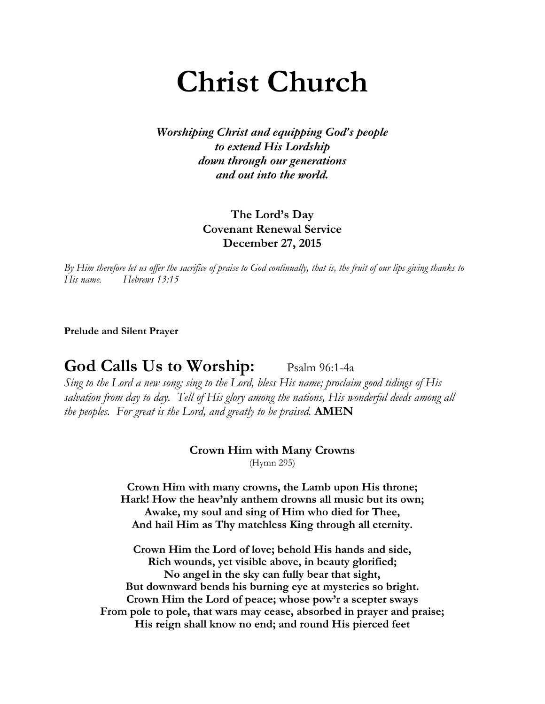# **Christ Church**

*Worshiping Christ and equipping God's people to extend His Lordship down through our generations and out into the world.*

> **The Lord's Day Covenant Renewal Service December 27, 2015**

*By Him therefore let us offer the sacrifice of praise to God continually, that is, the fruit of our lips giving thanks to His name. Hebrews 13:15* 

**Prelude and Silent Prayer**

God Calls Us to Worship: Psalm 96:1-4a

*Sing to the Lord a new song; sing to the Lord, bless His name; proclaim good tidings of His salvation from day to day. Tell of His glory among the nations, His wonderful deeds among all the peoples. For great is the Lord, and greatly to be praised.* **AMEN**

### **Crown Him with Many Crowns**

(Hymn 295)

**Crown Him with many crowns, the Lamb upon His throne; Hark! How the heav'nly anthem drowns all music but its own; Awake, my soul and sing of Him who died for Thee, And hail Him as Thy matchless King through all eternity.**

**Crown Him the Lord of love; behold His hands and side, Rich wounds, yet visible above, in beauty glorified; No angel in the sky can fully bear that sight, But downward bends his burning eye at mysteries so bright. Crown Him the Lord of peace; whose pow'r a scepter sways From pole to pole, that wars may cease, absorbed in prayer and praise; His reign shall know no end; and round His pierced feet**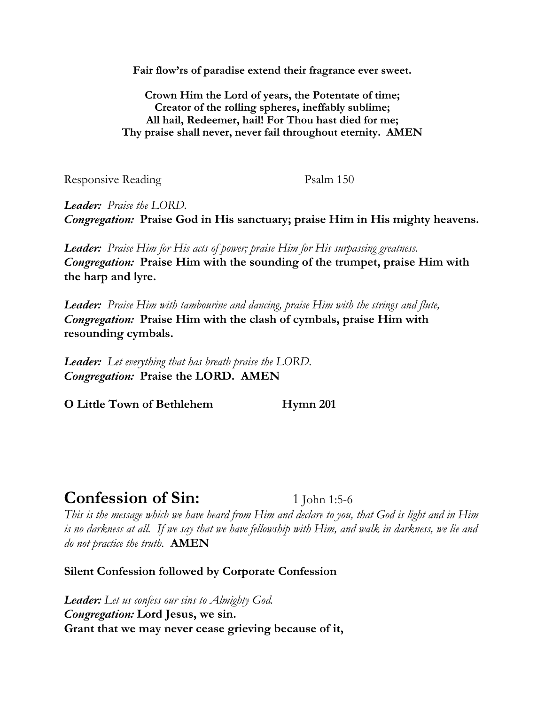**Fair flow'rs of paradise extend their fragrance ever sweet.**

**Crown Him the Lord of years, the Potentate of time; Creator of the rolling spheres, ineffably sublime; All hail, Redeemer, hail! For Thou hast died for me; Thy praise shall never, never fail throughout eternity. AMEN**

Responsive Reading Psalm 150

*Leader: Praise the LORD. Congregation:* **Praise God in His sanctuary; praise Him in His mighty heavens.**

*Leader: Praise Him for His acts of power; praise Him for His surpassing greatness. Congregation:* **Praise Him with the sounding of the trumpet, praise Him with the harp and lyre.**

*Leader: Praise Him with tambourine and dancing, praise Him with the strings and flute, Congregation:* **Praise Him with the clash of cymbals, praise Him with resounding cymbals.**

*Leader: Let everything that has breath praise the LORD. Congregation:* **Praise the LORD. AMEN**

**O Little Town of Bethlehem Hymn 201**

## **Confession of Sin:** 1 John 1:5-6

*This is the message which we have heard from Him and declare to you, that God is light and in Him is no darkness at all. If we say that we have fellowship with Him, and walk in darkness, we lie and do not practice the truth.* **AMEN** 

**Silent Confession followed by Corporate Confession** 

*Leader: Let us confess our sins to Almighty God. Congregation:* **Lord Jesus, we sin. Grant that we may never cease grieving because of it,**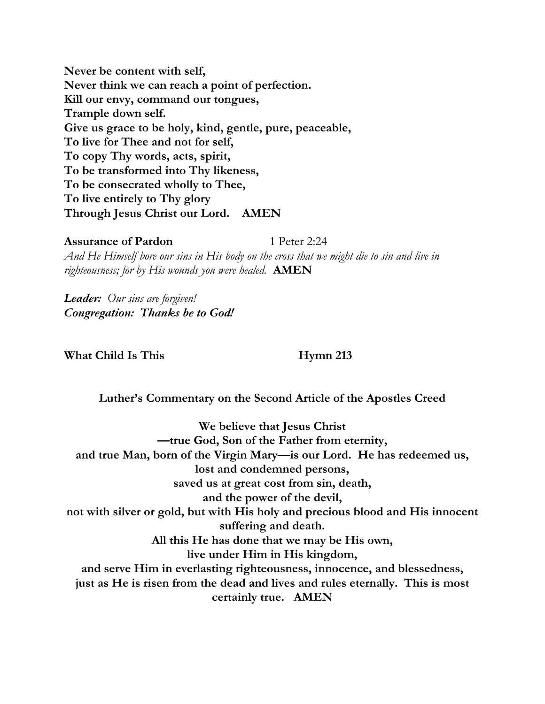**Never be content with self, Never think we can reach a point of perfection. Kill our envy, command our tongues, Trample down self. Give us grace to be holy, kind, gentle, pure, peaceable, To live for Thee and not for self, To copy Thy words, acts, spirit, To be transformed into Thy likeness, To be consecrated wholly to Thee, To live entirely to Thy glory Through Jesus Christ our Lord. AMEN**

**Assurance of Pardon** 1 Peter 2:24 *And He Himself bore our sins in His body on the cross that we might die to sin and live in righteousness; for by His wounds you were healed.* **AMEN**

*Leader: Our sins are forgiven! Congregation: Thanks be to God!*

What Child Is This **Hymn** 213

**Luther's Commentary on the Second Article of the Apostles Creed**

**We believe that Jesus Christ —true God, Son of the Father from eternity, and true Man, born of the Virgin Mary—is our Lord. He has redeemed us, lost and condemned persons, saved us at great cost from sin, death, and the power of the devil, not with silver or gold, but with His holy and precious blood and His innocent suffering and death. All this He has done that we may be His own, live under Him in His kingdom, and serve Him in everlasting righteousness, innocence, and blessedness, just as He is risen from the dead and lives and rules eternally. This is most certainly true. AMEN**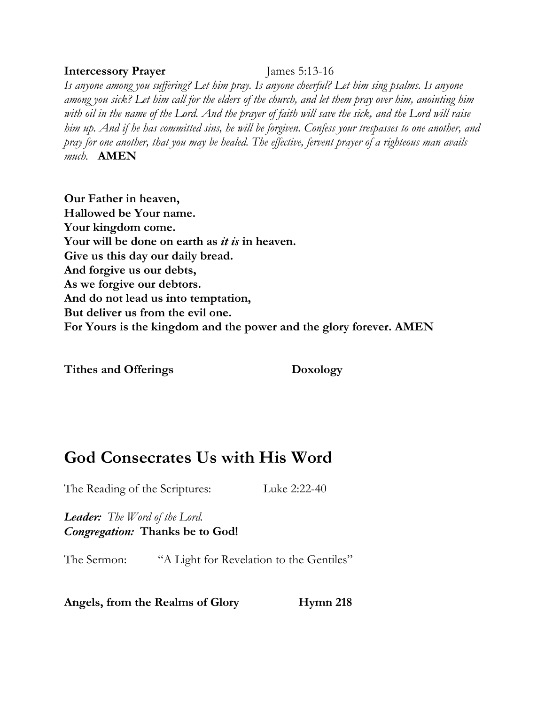#### **Intercessory Prayer** James 5:13-16

*Is anyone among you suffering? Let him pray. Is anyone cheerful? Let him sing psalms. Is anyone among you sick? Let him call for the elders of the church, and let them pray over him, anointing him with oil in the name of the Lord. And the prayer of faith will save the sick, and the Lord will raise him up. And if he has committed sins, he will be forgiven. Confess your trespasses to one another, and pray for one another, that you may be healed. The effective, fervent prayer of a righteous man avails much.* **AMEN**

**Our Father in heaven, Hallowed be Your name. Your kingdom come. Your will be done on earth as** *it is* **in heaven. Give us this day our daily bread. And forgive us our debts, As we forgive our debtors. And do not lead us into temptation, But deliver us from the evil one. For Yours is the kingdom and the power and the glory forever. AMEN**

**Tithes and Offerings Doxology**

## **God Consecrates Us with His Word**

The Reading of the Scriptures: Luke 2:22-40

*Leader: The Word of the Lord. Congregation:* **Thanks be to God!**

The Sermon: "A Light for Revelation to the Gentiles"

**Angels, from the Realms of Glory Hymn 218**